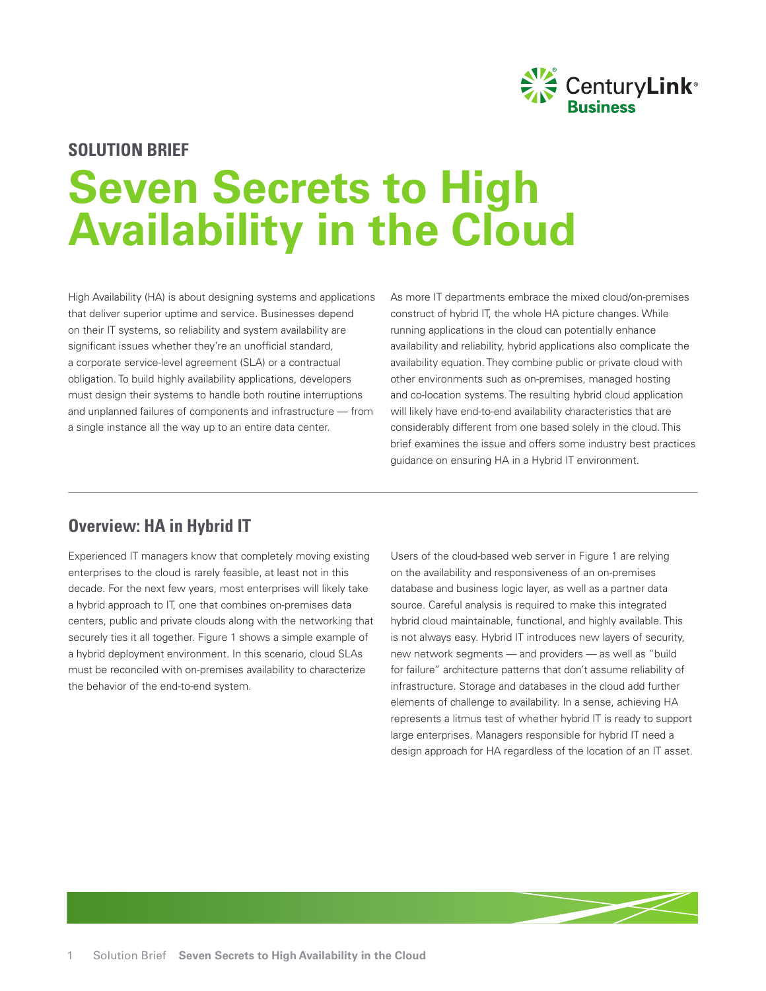

# **SOLUTION BRIEF Seven Secrets to High Availability in the Cloud**

High Availability (HA) is about designing systems and applications that deliver superior uptime and service. Businesses depend on their IT systems, so reliability and system availability are significant issues whether they're an unofficial standard, a corporate service-level agreement (SLA) or a contractual obligation. To build highly availability applications, developers must design their systems to handle both routine interruptions and unplanned failures of components and infrastructure — from a single instance all the way up to an entire data center.

As more IT departments embrace the mixed cloud/on-premises construct of hybrid IT, the whole HA picture changes. While running applications in the cloud can potentially enhance availability and reliability, hybrid applications also complicate the availability equation. They combine public or private cloud with other environments such as on-premises, managed hosting and co-location systems. The resulting hybrid cloud application will likely have end-to-end availability characteristics that are considerably different from one based solely in the cloud. This brief examines the issue and offers some industry best practices guidance on ensuring HA in a Hybrid IT environment.

#### **Overview: HA in Hybrid IT**

Experienced IT managers know that completely moving existing enterprises to the cloud is rarely feasible, at least not in this decade. For the next few years, most enterprises will likely take a hybrid approach to IT, one that combines on-premises data centers, public and private clouds along with the networking that securely ties it all together. Figure 1 shows a simple example of a hybrid deployment environment. In this scenario, cloud SLAs must be reconciled with on-premises availability to characterize the behavior of the end-to-end system.

Users of the cloud-based web server in Figure 1 are relying on the availability and responsiveness of an on-premises database and business logic layer, as well as a partner data source. Careful analysis is required to make this integrated hybrid cloud maintainable, functional, and highly available. This is not always easy. Hybrid IT introduces new layers of security, new network segments — and providers — as well as "build for failure" architecture patterns that don't assume reliability of infrastructure. Storage and databases in the cloud add further elements of challenge to availability. In a sense, achieving HA represents a litmus test of whether hybrid IT is ready to support large enterprises. Managers responsible for hybrid IT need a design approach for HA regardless of the location of an IT asset.

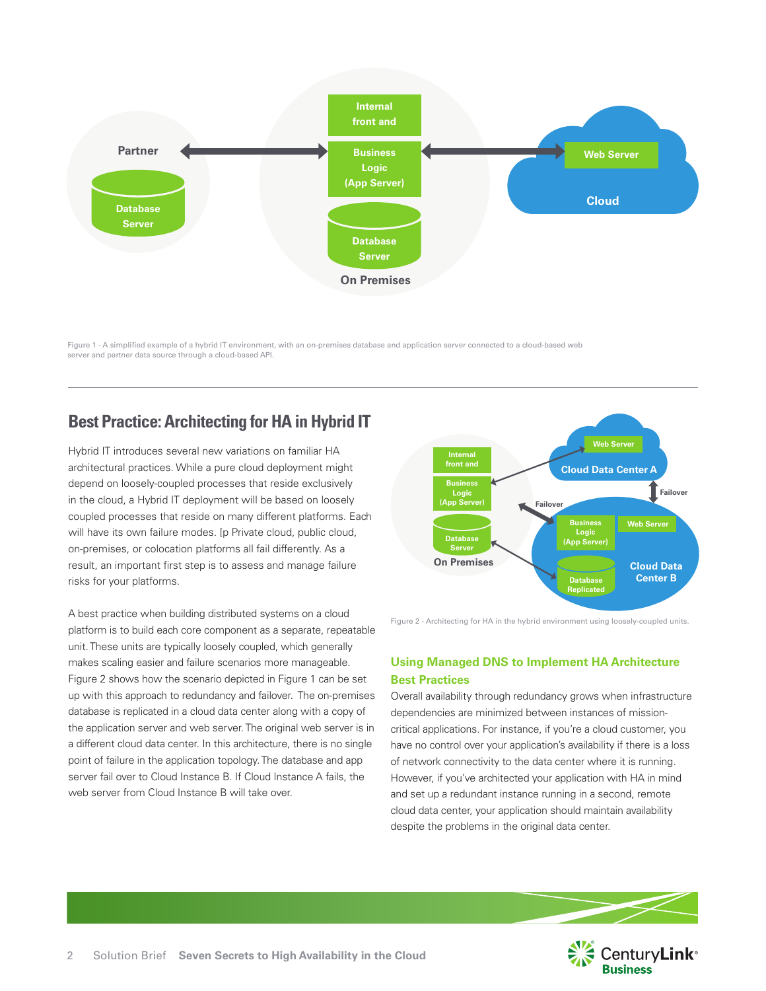

Figure 1 - A simplified example of a hybrid IT environment, with an on-premises database and application server connected to a cloud-based web server and partner data source through a cloud-based API.

## **Best Practice: Architecting for HA in Hybrid IT**

Hybrid IT introduces several new variations on familiar HA architectural practices. While a pure cloud deployment might depend on loosely-coupled processes that reside exclusively in the cloud, a Hybrid IT deployment will be based on loosely coupled processes that reside on many different platforms. Each will have its own failure modes. [p Private cloud, public cloud, on-premises, or colocation platforms all fail differently. As a result, an important first step is to assess and manage failure risks for your platforms.

A best practice when building distributed systems on a cloud platform is to build each core component as a separate, repeatable unit. These units are typically loosely coupled, which generally makes scaling easier and failure scenarios more manageable. Figure 2 shows how the scenario depicted in Figure 1 can be set up with this approach to redundancy and failover. The on-premises database is replicated in a cloud data center along with a copy of the application server and web server. The original web server is in a different cloud data center. In this architecture, there is no single point of failure in the application topology. The database and app server fail over to Cloud Instance B. If Cloud Instance A fails, the web server from Cloud Instance B will take over.



Figure 2 - Architecting for HA in the hybrid environment using loosely-coupled units.

#### **Using Managed DNS to Implement HA Architecture Best Practices**

Overall availability through redundancy grows when infrastructure dependencies are minimized between instances of missioncritical applications. For instance, if you're a cloud customer, you have no control over your application's availability if there is a loss of network connectivity to the data center where it is running. However, if you've architected your application with HA in mind and set up a redundant instance running in a second, remote cloud data center, your application should maintain availability despite the problems in the original data center.

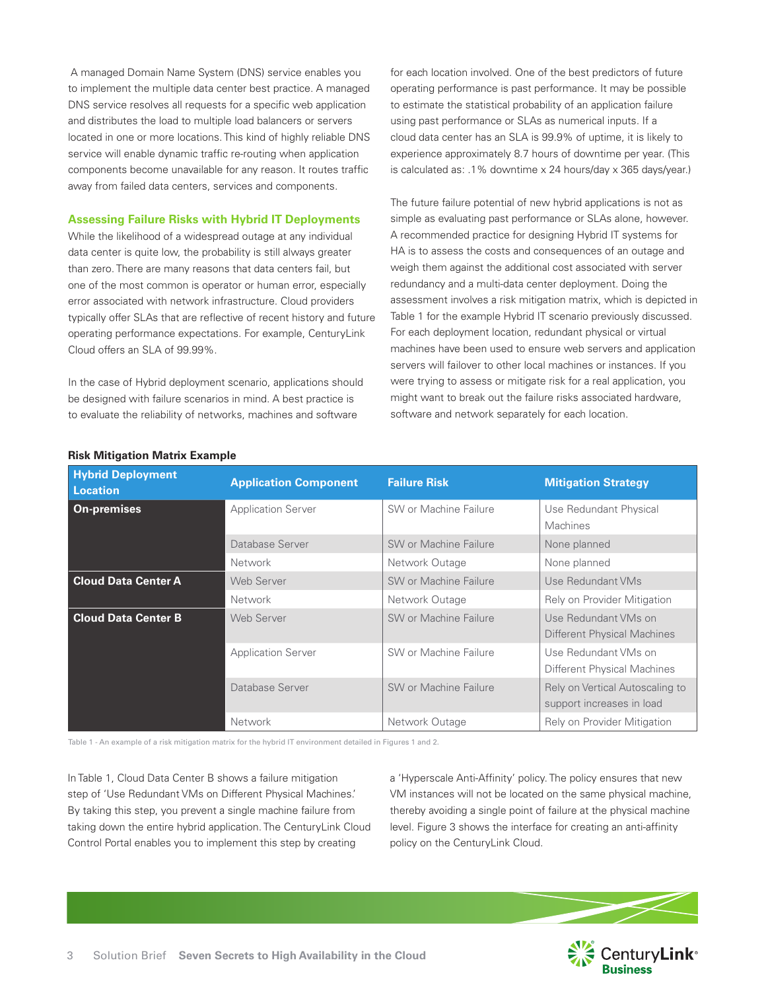A managed Domain Name System (DNS) service enables you to implement the multiple data center best practice. A managed DNS service resolves all requests for a specific web application and distributes the load to multiple load balancers or servers located in one or more locations. This kind of highly reliable DNS service will enable dynamic traffic re-routing when application components become unavailable for any reason. It routes traffic away from failed data centers, services and components.

#### **Assessing Failure Risks with Hybrid IT Deployments**

While the likelihood of a widespread outage at any individual data center is quite low, the probability is still always greater than zero. There are many reasons that data centers fail, but one of the most common is operator or human error, especially error associated with network infrastructure. Cloud providers typically offer SLAs that are reflective of recent history and future operating performance expectations. For example, CenturyLink Cloud offers an SLA of 99.99%.

In the case of Hybrid deployment scenario, applications should be designed with failure scenarios in mind. A best practice is to evaluate the reliability of networks, machines and software

for each location involved. One of the best predictors of future operating performance is past performance. It may be possible to estimate the statistical probability of an application failure using past performance or SLAs as numerical inputs. If a cloud data center has an SLA is 99.9% of uptime, it is likely to experience approximately 8.7 hours of downtime per year. (This is calculated as: .1% downtime x 24 hours/day x 365 days/year.)

The future failure potential of new hybrid applications is not as simple as evaluating past performance or SLAs alone, however. A recommended practice for designing Hybrid IT systems for HA is to assess the costs and consequences of an outage and weigh them against the additional cost associated with server redundancy and a multi-data center deployment. Doing the assessment involves a risk mitigation matrix, which is depicted in Table 1 for the example Hybrid IT scenario previously discussed. For each deployment location, redundant physical or virtual machines have been used to ensure web servers and application servers will failover to other local machines or instances. If you were trying to assess or mitigate risk for a real application, you might want to break out the failure risks associated hardware, software and network separately for each location.

| <b>Hybrid Deployment</b><br><b>Location</b> | <b>Application Component</b> | <b>Failure Risk</b>   | <b>Mitigation Strategy</b>                                   |
|---------------------------------------------|------------------------------|-----------------------|--------------------------------------------------------------|
| <b>On-premises</b>                          | <b>Application Server</b>    | SW or Machine Failure | Use Redundant Physical<br><b>Machines</b>                    |
|                                             | Database Server              | SW or Machine Failure | None planned                                                 |
|                                             | Network                      | Network Outage        | None planned                                                 |
| <b>Cloud Data Center A</b>                  | Web Server                   | SW or Machine Failure | Use Redundant VMs                                            |
|                                             | Network                      | Network Outage        | Rely on Provider Mitigation                                  |
| <b>Cloud Data Center B</b>                  | <b>Web Server</b>            | SW or Machine Failure | Use Redundant VMs on<br>Different Physical Machines          |
|                                             | <b>Application Server</b>    | SW or Machine Failure | Use Redundant VMs on<br>Different Physical Machines          |
|                                             | Database Server              | SW or Machine Failure | Rely on Vertical Autoscaling to<br>support increases in load |
|                                             | Network                      | Network Outage        | Rely on Provider Mitigation                                  |

#### **Risk Mitigation Matrix Example**

Table 1 - An example of a risk mitigation matrix for the hybrid IT environment detailed in Figures 1 and 2.

In Table 1, Cloud Data Center B shows a failure mitigation step of 'Use Redundant VMs on Different Physical Machines.' By taking this step, you prevent a single machine failure from taking down the entire hybrid application. The CenturyLink Cloud Control Portal enables you to implement this step by creating

a 'Hyperscale Anti-Affinity' policy. The policy ensures that new VM instances will not be located on the same physical machine, thereby avoiding a single point of failure at the physical machine level. Figure 3 shows the interface for creating an anti-affinity policy on the CenturyLink Cloud.

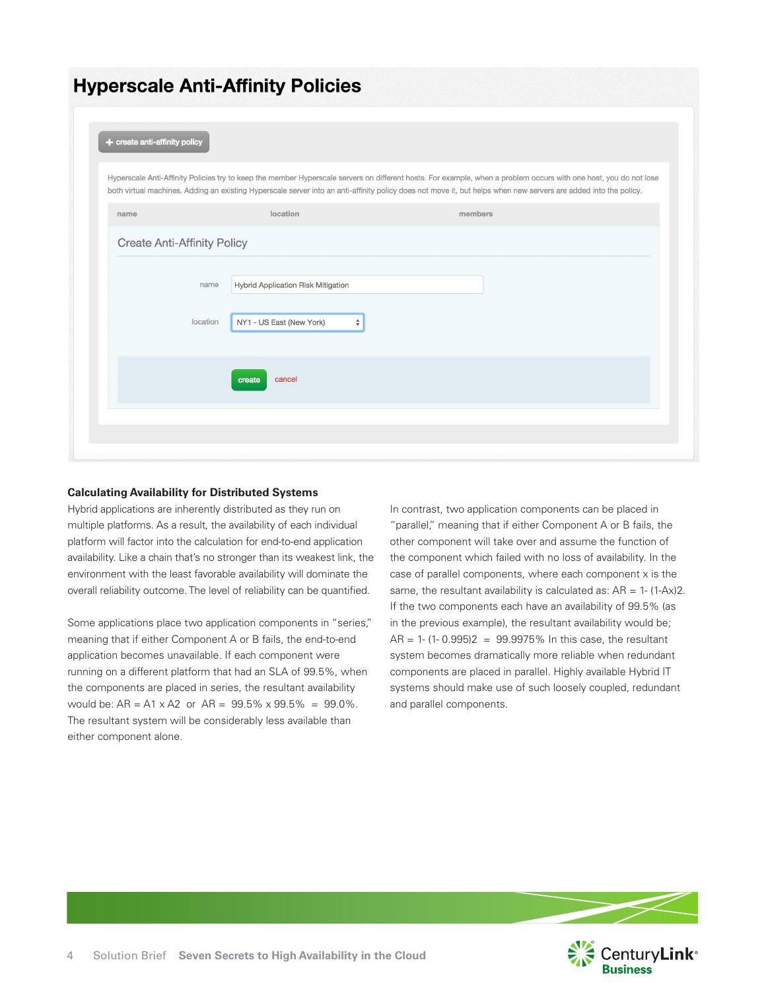## **Hyperscale Anti-Affinity Policies**

| + create anti-affinity policy      |                                                                     | Hyperscale Anti-Affinity Policies try to keep the member Hyperscale servers on different hosts. For example, when a problem occurs with one host, you do not lose           |
|------------------------------------|---------------------------------------------------------------------|-----------------------------------------------------------------------------------------------------------------------------------------------------------------------------|
| name                               | location                                                            | both virtual machines. Adding an existing Hyperscale server into an anti-affinity policy does not move it, but helps when new servers are added into the policy.<br>members |
| <b>Create Anti-Affinity Policy</b> |                                                                     |                                                                                                                                                                             |
| name<br>location                   | Hybrid Application Risk Mitigation<br>NY1 - US East (New York)<br>÷ |                                                                                                                                                                             |
|                                    | cancel<br>create                                                    |                                                                                                                                                                             |
|                                    |                                                                     |                                                                                                                                                                             |

#### **Calculating Availability for Distributed Systems**

Hybrid applications are inherently distributed as they run on multiple platforms. As a result, the availability of each individual platform will factor into the calculation for end-to-end application availability. Like a chain that's no stronger than its weakest link, the environment with the least favorable availability will dominate the overall reliability outcome. The level of reliability can be quantified.

Some applications place two application components in "series," meaning that if either Component A or B fails, the end-to-end application becomes unavailable. If each component were running on a different platform that had an SLA of 99.5%, when the components are placed in series, the resultant availability would be: AR = A1 x A2 or AR =  $99.5\% \times 99.5\% = 99.0\%$ . The resultant system will be considerably less available than either component alone.

In contrast, two application components can be placed in "parallel," meaning that if either Component A or B fails, the other component will take over and assume the function of the component which failed with no loss of availability. In the case of parallel components, where each component x is the same, the resultant availability is calculated as:  $AR = 1 - (1-Ax)2$ . If the two components each have an availability of 99.5% (as in the previous example), the resultant availability would be;  $AR = 1 - (1 - 0.995)2 = 99.9975\%$  In this case, the resultant system becomes dramatically more reliable when redundant components are placed in parallel. Highly available Hybrid IT systems should make use of such loosely coupled, redundant and parallel components.

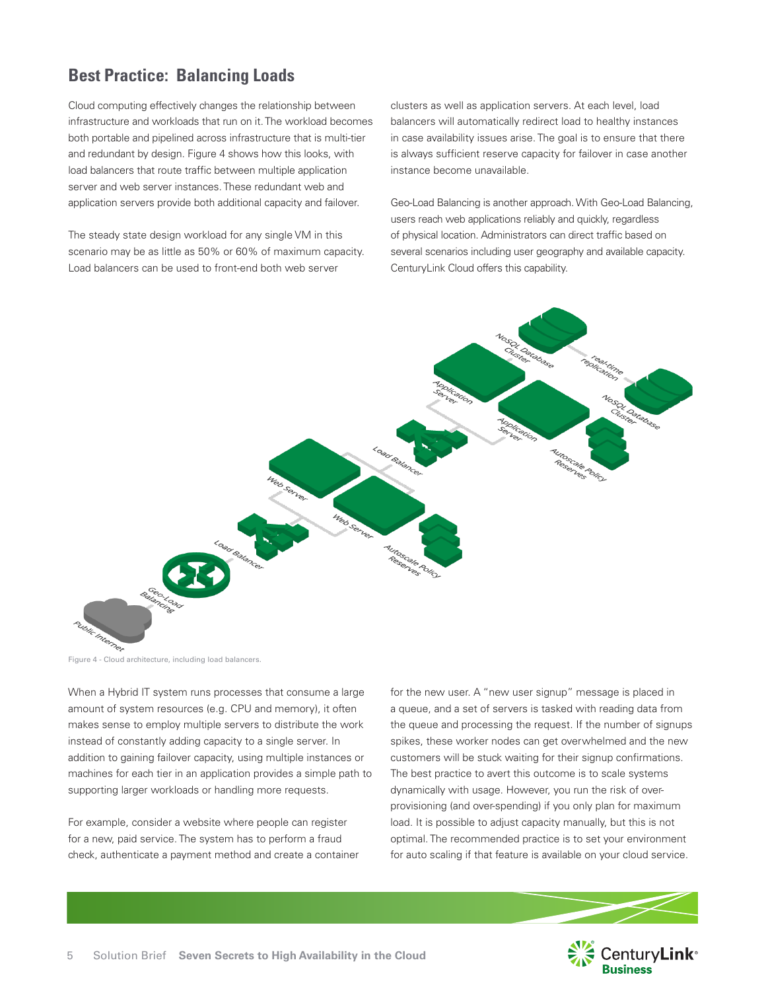## **Best Practice: Balancing Loads**

Cloud computing effectively changes the relationship between infrastructure and workloads that run on it. The workload becomes both portable and pipelined across infrastructure that is multi-tier and redundant by design. Figure 4 shows how this looks, with load balancers that route traffic between multiple application server and web server instances. These redundant web and application servers provide both additional capacity and failover.

The steady state design workload for any single VM in this scenario may be as little as 50% or 60% of maximum capacity. Load balancers can be used to front-end both web server

clusters as well as application servers. At each level, load balancers will automatically redirect load to healthy instances in case availability issues arise. The goal is to ensure that there is always sufficient reserve capacity for failover in case another instance become unavailable.

Geo-Load Balancing is another approach. With Geo-Load Balancing, users reach web applications reliably and quickly, regardless of physical location. Administrators can direct traffic based on several scenarios including user geography and available capacity. CenturyLink Cloud offers this capability.



When a Hybrid IT system runs processes that consume a large amount of system resources (e.g. CPU and memory), it often makes sense to employ multiple servers to distribute the work instead of constantly adding capacity to a single server. In addition to gaining failover capacity, using multiple instances or machines for each tier in an application provides a simple path to supporting larger workloads or handling more requests.

For example, consider a website where people can register for a new, paid service. The system has to perform a fraud check, authenticate a payment method and create a container for the new user. A "new user signup" message is placed in a queue, and a set of servers is tasked with reading data from the queue and processing the request. If the number of signups spikes, these worker nodes can get overwhelmed and the new customers will be stuck waiting for their signup confirmations. The best practice to avert this outcome is to scale systems dynamically with usage. However, you run the risk of overprovisioning (and over-spending) if you only plan for maximum load. It is possible to adjust capacity manually, but this is not optimal. The recommended practice is to set your environment for auto scaling if that feature is available on your cloud service.

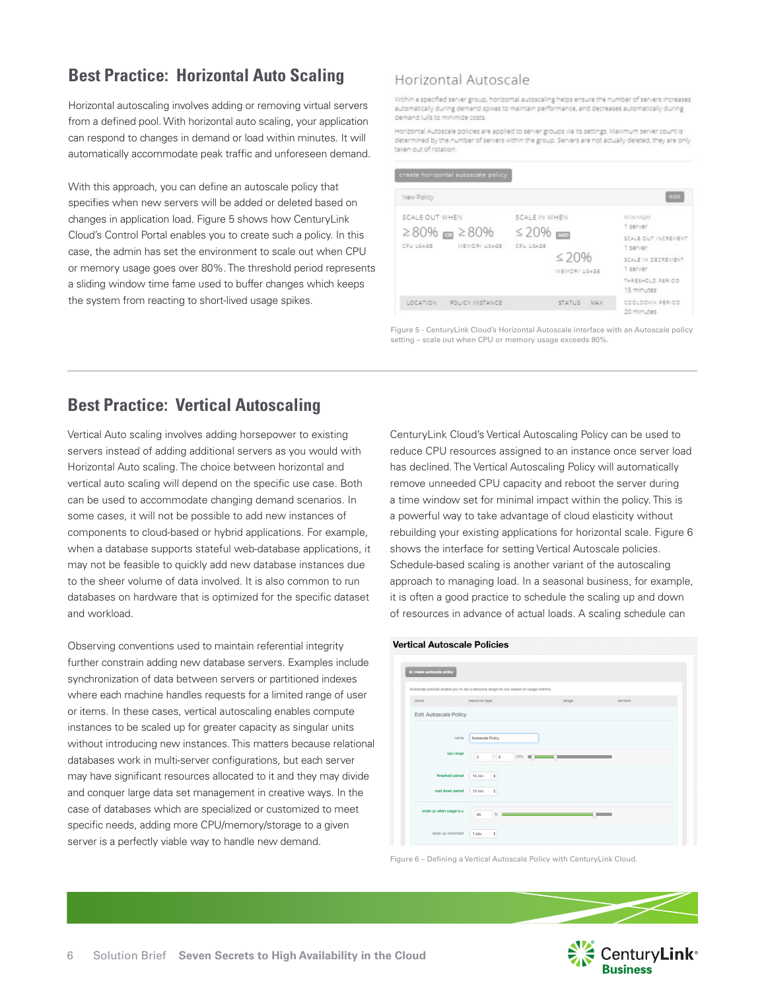## **Best Practice: Horizontal Auto Scaling**

Horizontal autoscaling involves adding or removing virtual servers from a defined pool. With horizontal auto scaling, your application can respond to changes in demand or load within minutes. It will automatically accommodate peak traffic and unforeseen demand.

With this approach, you can define an autoscale policy that specifies when new servers will be added or deleted based on changes in application load. Figure 5 shows how CenturyLink Cloud's Control Portal enables you to create such a policy. In this case, the admin has set the environment to scale out when CPU or memory usage goes over 80%. The threshold period represents a sliding window time fame used to buffer changes which keeps the system from reacting to short-lived usage spikes.

#### Horizontal Autoscale

Within a specified server group, horizontal autoscaling helps ensure the number of servers increases automatically during demand spikes to maintain performance, and decreases automatically during demand lulls to minimize costs.

Horizontal Autoscale policies are applied to server groups via its settings. Maximum server count is determined by the number of servers within the group. Servers are not actually deleted, they are only taken out of rotation

| New Policy                                      |                                   |                             |               |                                 | edit                           |
|-------------------------------------------------|-----------------------------------|-----------------------------|---------------|---------------------------------|--------------------------------|
| SCALE OUT WHEN                                  |                                   | SCALE IN WHEN               |               | <b>MINIMUM</b><br>1 server      |                                |
| $≥80\%$ mm $≥80\%$<br>CPU USAGE<br>MEMORY USAGE | $\leq$ 20% $\rm{cm}$<br>CPU USAGE | $\leq 20\%$<br>MEMORY USAGE |               | SCALE OUT INCREMENT<br>1 server |                                |
|                                                 |                                   |                             |               | SCALE IN DECREMENT<br>1 server  |                                |
|                                                 |                                   |                             |               |                                 | THRESHOLD PERIOD<br>15 minutes |
| LOCATION                                        | POLICY INSTANCE                   |                             | <b>STATUS</b> | <b>MAX</b>                      | COOLDOWN PERIOD<br>20 minutes  |

Figure 5 - CenturyLink Cloud's Horizontal Autoscale interface with an Autoscale policy setting – scale out when CPU or memory usage exceeds 80%.

### **Best Practice: Vertical Autoscaling**

Vertical Auto scaling involves adding horsepower to existing servers instead of adding additional servers as you would with Horizontal Auto scaling. The choice between horizontal and vertical auto scaling will depend on the specific use case. Both can be used to accommodate changing demand scenarios. In some cases, it will not be possible to add new instances of components to cloud-based or hybrid applications. For example, when a database supports stateful web-database applications, it may not be feasible to quickly add new database instances due to the sheer volume of data involved. It is also common to run databases on hardware that is optimized for the specific dataset and workload.

Observing conventions used to maintain referential integrity further constrain adding new database servers. Examples include synchronization of data between servers or partitioned indexes where each machine handles requests for a limited range of user or items. In these cases, vertical autoscaling enables compute instances to be scaled up for greater capacity as singular units without introducing new instances. This matters because relational databases work in multi-server configurations, but each server may have significant resources allocated to it and they may divide and conquer large data set management in creative ways. In the case of databases which are specialized or customized to meet specific needs, adding more CPU/memory/storage to a given server is a perfectly viable way to handle new demand.

CenturyLink Cloud's Vertical Autoscaling Policy can be used to reduce CPU resources assigned to an instance once server load has declined. The Vertical Autoscaling Policy will automatically remove unneeded CPU capacity and reboot the server during a time window set for minimal impact within the policy. This is a powerful way to take advantage of cloud elasticity without rebuilding your existing applications for horizontal scale. Figure 6 shows the interface for setting Vertical Autoscale policies. Schedule-based scaling is another variant of the autoscaling approach to managing load. In a seasonal business, for example, it is often a good practice to schedule the scaling up and down of resources in advance of actual loads. A scaling schedule can

#### **Vertical Autoscale Policies**



Figure 6 – Defining a Vertical Autoscale Policy with CenturyLink Cloud.